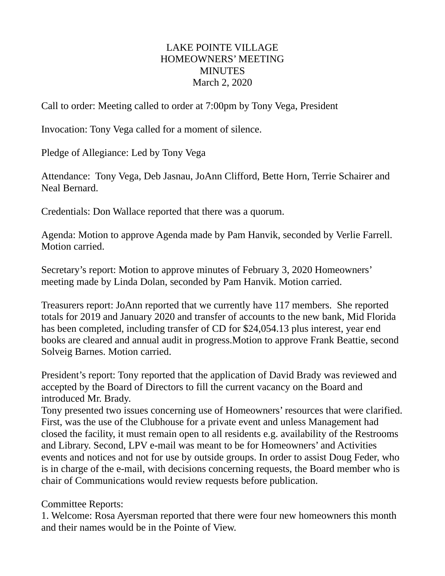## LAKE POINTE VILLAGE HOMEOWNERS' MEETING MINUTES March 2, 2020

Call to order: Meeting called to order at 7:00pm by Tony Vega, President

Invocation: Tony Vega called for a moment of silence.

Pledge of Allegiance: Led by Tony Vega

Attendance: Tony Vega, Deb Jasnau, JoAnn Clifford, Bette Horn, Terrie Schairer and Neal Bernard.

Credentials: Don Wallace reported that there was a quorum.

Agenda: Motion to approve Agenda made by Pam Hanvik, seconded by Verlie Farrell. Motion carried.

Secretary's report: Motion to approve minutes of February 3, 2020 Homeowners' meeting made by Linda Dolan, seconded by Pam Hanvik. Motion carried.

Treasurers report: JoAnn reported that we currently have 117 members. She reported totals for 2019 and January 2020 and transfer of accounts to the new bank, Mid Florida has been completed, including transfer of CD for \$24,054.13 plus interest, year end books are cleared and annual audit in progress.Motion to approve Frank Beattie, second Solveig Barnes. Motion carried.

President's report: Tony reported that the application of David Brady was reviewed and accepted by the Board of Directors to fill the current vacancy on the Board and introduced Mr. Brady.

Tony presented two issues concerning use of Homeowners' resources that were clarified. First, was the use of the Clubhouse for a private event and unless Management had closed the facility, it must remain open to all residents e.g. availability of the Restrooms and Library. Second, LPV e-mail was meant to be for Homeowners' and Activities events and notices and not for use by outside groups. In order to assist Doug Feder, who is in charge of the e-mail, with decisions concerning requests, the Board member who is chair of Communications would review requests before publication.

## Committee Reports:

1. Welcome: Rosa Ayersman reported that there were four new homeowners this month and their names would be in the Pointe of View.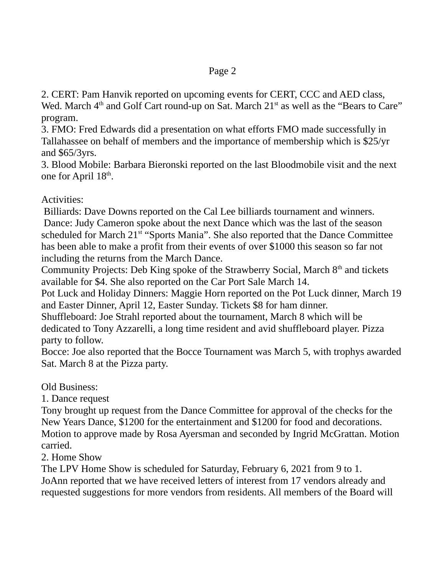2. CERT: Pam Hanvik reported on upcoming events for CERT, CCC and AED class, Wed. March 4<sup>th</sup> and Golf Cart round-up on Sat. March 21<sup>st</sup> as well as the "Bears to Care" program.

3. FMO: Fred Edwards did a presentation on what efforts FMO made successfully in Tallahassee on behalf of members and the importance of membership which is \$25/yr and \$65/3yrs.

3. Blood Mobile: Barbara Bieronski reported on the last Bloodmobile visit and the next one for April 18<sup>th</sup>.

## Activities:

 Billiards: Dave Downs reported on the Cal Lee billiards tournament and winners. Dance: Judy Cameron spoke about the next Dance which was the last of the season scheduled for March 21<sup>st</sup> "Sports Mania". She also reported that the Dance Committee has been able to make a profit from their events of over \$1000 this season so far not including the returns from the March Dance.

Community Projects: Deb King spoke of the Strawberry Social, March  $8<sup>th</sup>$  and tickets available for \$4. She also reported on the Car Port Sale March 14.

Pot Luck and Holiday Dinners: Maggie Horn reported on the Pot Luck dinner, March 19 and Easter Dinner, April 12, Easter Sunday. Tickets \$8 for ham dinner.

Shuffleboard: Joe Strahl reported about the tournament, March 8 which will be dedicated to Tony Azzarelli, a long time resident and avid shuffleboard player. Pizza party to follow.

Bocce: Joe also reported that the Bocce Tournament was March 5, with trophys awarded Sat. March 8 at the Pizza party.

Old Business:

1. Dance request

Tony brought up request from the Dance Committee for approval of the checks for the New Years Dance, \$1200 for the entertainment and \$1200 for food and decorations. Motion to approve made by Rosa Ayersman and seconded by Ingrid McGrattan. Motion carried.

2. Home Show

The LPV Home Show is scheduled for Saturday, February 6, 2021 from 9 to 1. JoAnn reported that we have received letters of interest from 17 vendors already and requested suggestions for more vendors from residents. All members of the Board will